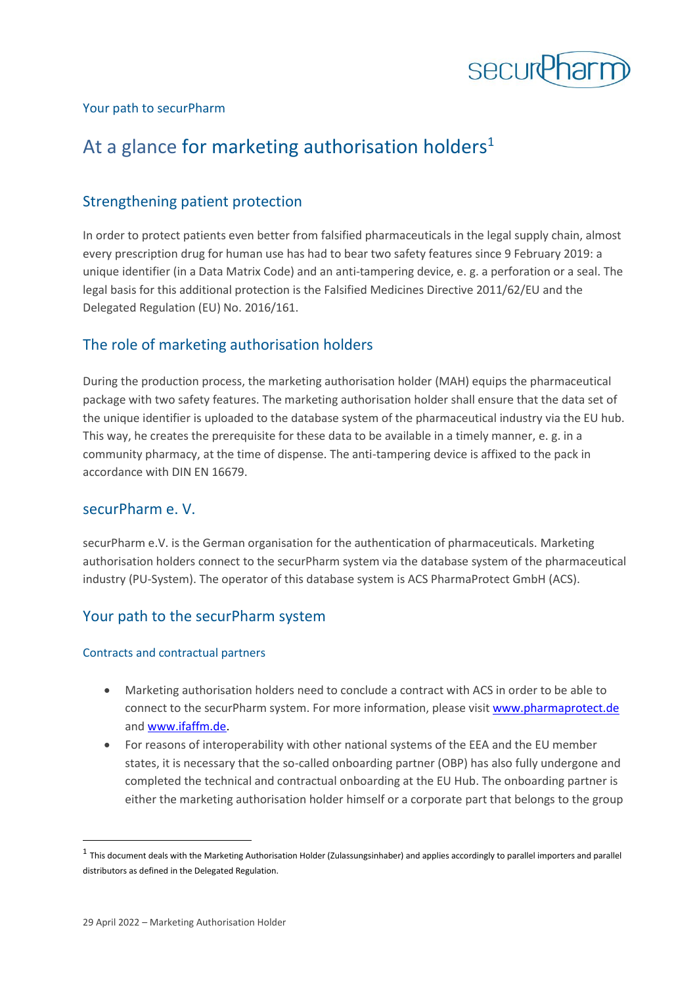

## Your path to securPharm

# At a glance for marketing authorisation holders<sup>1</sup>

# Strengthening patient protection

In order to protect patients even better from falsified pharmaceuticals in the legal supply chain, almost every prescription drug for human use has had to bear two safety features since 9 February 2019: a unique identifier (in a Data Matrix Code) and an anti-tampering device, e. g. a perforation or a seal. The legal basis for this additional protection is the Falsified Medicines Directive 2011/62/EU and the Delegated Regulation (EU) No. 2016/161.

# The role of marketing authorisation holders

During the production process, the marketing authorisation holder (MAH) equips the pharmaceutical package with two safety features. The marketing authorisation holder shall ensure that the data set of the unique identifier is uploaded to the database system of the pharmaceutical industry via the EU hub. This way, he creates the prerequisite for these data to be available in a timely manner, e. g. in a community pharmacy, at the time of dispense. The anti-tampering device is affixed to the pack in accordance with DIN EN 16679.

# securPharm e. V.

securPharm e.V. is the German organisation for the authentication of pharmaceuticals. Marketing authorisation holders connect to the securPharm system via the database system of the pharmaceutical industry (PU-System). The operator of this database system is ACS PharmaProtect GmbH (ACS).

# Your path to the securPharm system

#### Contracts and contractual partners

- Marketing authorisation holders need to conclude a contract with ACS in order to be able to connect to the securPharm system. For more information, please visit [www.pharmaprotect.de](http://www.pharmaprotect.de/) and [www.ifaffm.de.](http://www.ifaffm.de/)
- For reasons of interoperability with other national systems of the EEA and the EU member states, it is necessary that the so-called onboarding partner (OBP) has also fully undergone and completed the technical and contractual onboarding at the EU Hub. The onboarding partner is either the marketing authorisation holder himself or a corporate part that belongs to the group

 $^1$  This document deals with the Marketing Authorisation Holder (Zulassungsinhaber) and applies accordingly to parallel importers and parallel distributors as defined in the Delegated Regulation.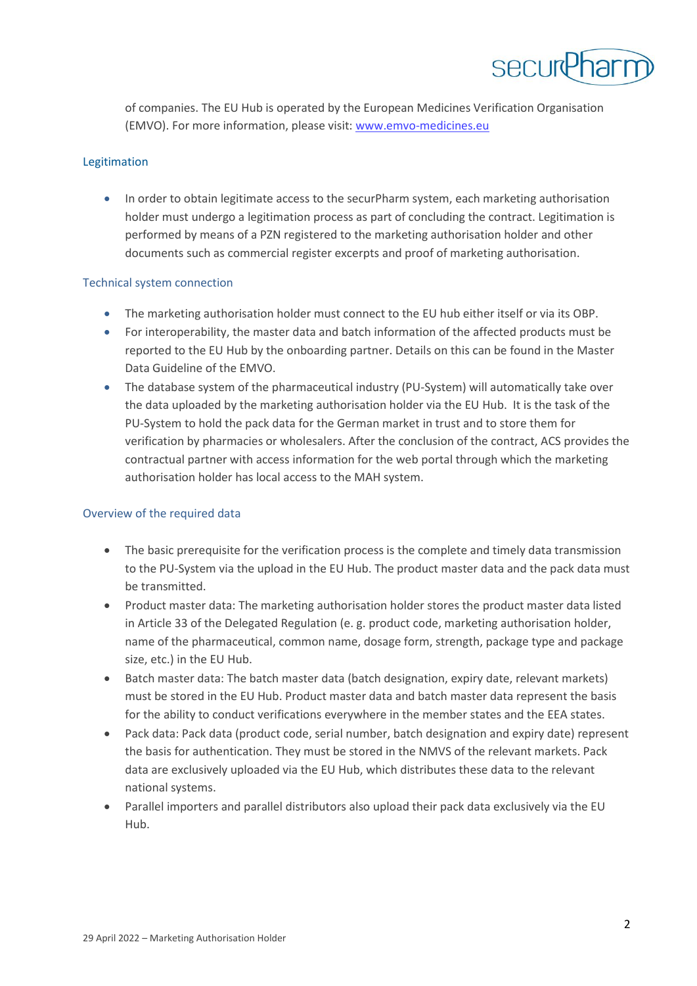

of companies. The EU Hub is operated by the European Medicines Verification Organisation (EMVO). For more information, please visit: [www.emvo-medicines.eu](http://www.emvo-medicines.eu/)

#### Legitimation

• In order to obtain legitimate access to the securPharm system, each marketing authorisation holder must undergo a legitimation process as part of concluding the contract. Legitimation is performed by means of a PZN registered to the marketing authorisation holder and other documents such as commercial register excerpts and proof of marketing authorisation.

#### Technical system connection

- The marketing authorisation holder must connect to the EU hub either itself or via its OBP.
- For interoperability, the master data and batch information of the affected products must be reported to the EU Hub by the onboarding partner. Details on this can be found in the Master Data Guideline of the EMVO.
- The database system of the pharmaceutical industry (PU-System) will automatically take over the data uploaded by the marketing authorisation holder via the EU Hub. It is the task of the PU-System to hold the pack data for the German market in trust and to store them for verification by pharmacies or wholesalers. After the conclusion of the contract, ACS provides the contractual partner with access information for the web portal through which the marketing authorisation holder has local access to the MAH system.

## Overview of the required data

- The basic prerequisite for the verification process is the complete and timely data transmission to the PU-System via the upload in the EU Hub. The product master data and the pack data must be transmitted.
- Product master data: The marketing authorisation holder stores the product master data listed in Article 33 of the Delegated Regulation (e. g. product code, marketing authorisation holder, name of the pharmaceutical, common name, dosage form, strength, package type and package size, etc.) in the EU Hub.
- Batch master data: The batch master data (batch designation, expiry date, relevant markets) must be stored in the EU Hub. Product master data and batch master data represent the basis for the ability to conduct verifications everywhere in the member states and the EEA states.
- Pack data: Pack data (product code, serial number, batch designation and expiry date) represent the basis for authentication. They must be stored in the NMVS of the relevant markets. Pack data are exclusively uploaded via the EU Hub, which distributes these data to the relevant national systems.
- Parallel importers and parallel distributors also upload their pack data exclusively via the EU Hub.